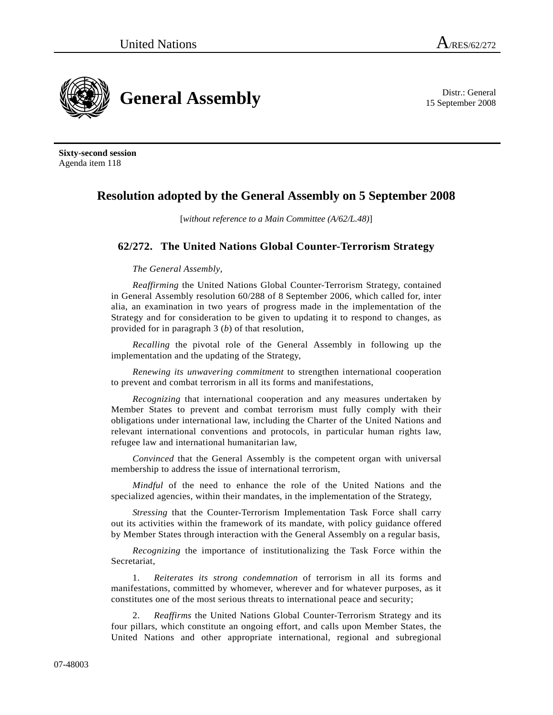**General Assembly** Distr.: General

15 September 2008

**Sixty-second session**  Agenda item 118

## **Resolution adopted by the General Assembly on 5 September 2008**

[*without reference to a Main Committee (A/62/L.48)*]

## **62/272. The United Nations Global Counter-Terrorism Strategy**

*The General Assembly*,

*Reaffirming* the United Nations Global Counter-Terrorism Strategy, contained in General Assembly resolution 60/288 of 8 September 2006, which called for, inter alia, an examination in two years of progress made in the implementation of the Strategy and for consideration to be given to updating it to respond to changes, as provided for in paragraph 3 (*b*) of that resolution,

*Recalling* the pivotal role of the General Assembly in following up the implementation and the updating of the Strategy,

*Renewing its unwavering commitment* to strengthen international cooperation to prevent and combat terrorism in all its forms and manifestations,

*Recognizing* that international cooperation and any measures undertaken by Member States to prevent and combat terrorism must fully comply with their obligations under international law, including the Charter of the United Nations and relevant international conventions and protocols, in particular human rights law, refugee law and international humanitarian law,

*Convinced* that the General Assembly is the competent organ with universal membership to address the issue of international terrorism,

*Mindful* of the need to enhance the role of the United Nations and the specialized agencies, within their mandates, in the implementation of the Strategy,

*Stressing* that the Counter-Terrorism Implementation Task Force shall carry out its activities within the framework of its mandate, with policy guidance offered by Member States through interaction with the General Assembly on a regular basis,

*Recognizing* the importance of institutionalizing the Task Force within the Secretariat,

 1. *Reiterates its strong condemnation* of terrorism in all its forms and manifestations, committed by whomever, wherever and for whatever purposes, as it constitutes one of the most serious threats to international peace and security;

 2. *Reaffirms* the United Nations Global Counter-Terrorism Strategy and its four pillars, which constitute an ongoing effort, and calls upon Member States, the United Nations and other appropriate international, regional and subregional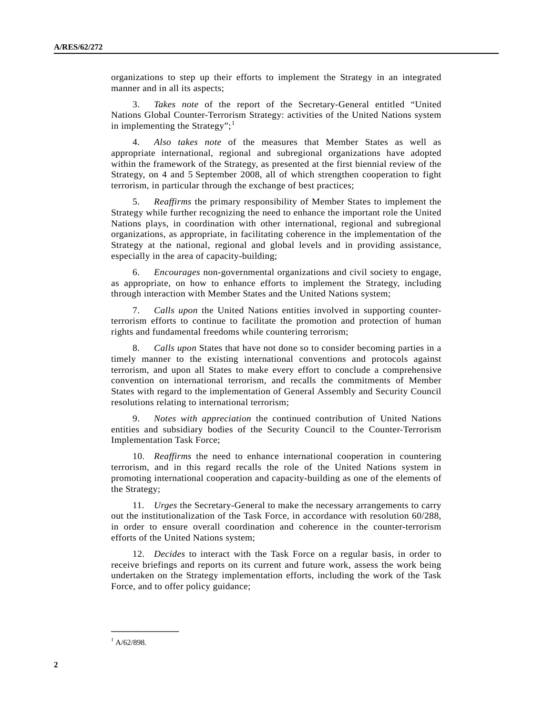organizations to step up their efforts to implement the Strategy in an integrated manner and in all its aspects;

 3. *Takes note* of the report of the Secretary-General entitled "United Nations Global Counter-Terrorism Strategy: activities of the United Nations system in implementing the Strategy"; $<sup>1</sup>$ </sup>

 4. *Also takes note* of the measures that Member States as well as appropriate international, regional and subregional organizations have adopted within the framework of the Strategy, as presented at the first biennial review of the Strategy, on 4 and 5 September 2008, all of which strengthen cooperation to fight terrorism, in particular through the exchange of best practices;

 5. *Reaffirms* the primary responsibility of Member States to implement the Strategy while further recognizing the need to enhance the important role the United Nations plays, in coordination with other international, regional and subregional organizations, as appropriate, in facilitating coherence in the implementation of the Strategy at the national, regional and global levels and in providing assistance, especially in the area of capacity-building;

 6. *Encourages* non-governmental organizations and civil society to engage, as appropriate, on how to enhance efforts to implement the Strategy, including through interaction with Member States and the United Nations system;

 7. *Calls upon* the United Nations entities involved in supporting counterterrorism efforts to continue to facilitate the promotion and protection of human rights and fundamental freedoms while countering terrorism;

 8. *Calls upon* States that have not done so to consider becoming parties in a timely manner to the existing international conventions and protocols against terrorism, and upon all States to make every effort to conclude a comprehensive convention on international terrorism, and recalls the commitments of Member States with regard to the implementation of General Assembly and Security Council resolutions relating to international terrorism;

 9. *Notes with appreciation* the continued contribution of United Nations entities and subsidiary bodies of the Security Council to the Counter-Terrorism Implementation Task Force;

 10. *Reaffirms* the need to enhance international cooperation in countering terrorism, and in this regard recalls the role of the United Nations system in promoting international cooperation and capacity-building as one of the elements of the Strategy;

 11. *Urges* the Secretary-General to make the necessary arrangements to carry out the institutionalization of the Task Force, in accordance with resolution 60/288, in order to ensure overall coordination and coherence in the counter-terrorism efforts of the United Nations system;

 12. *Decides* to interact with the Task Force on a regular basis, in order to receive briefings and reports on its current and future work, assess the work being undertaken on the Strategy implementation efforts, including the work of the Task Force, and to offer policy guidance;

**\_\_\_\_\_\_\_\_\_\_\_\_\_\_\_** 

 $^{1}$  A/62/898.